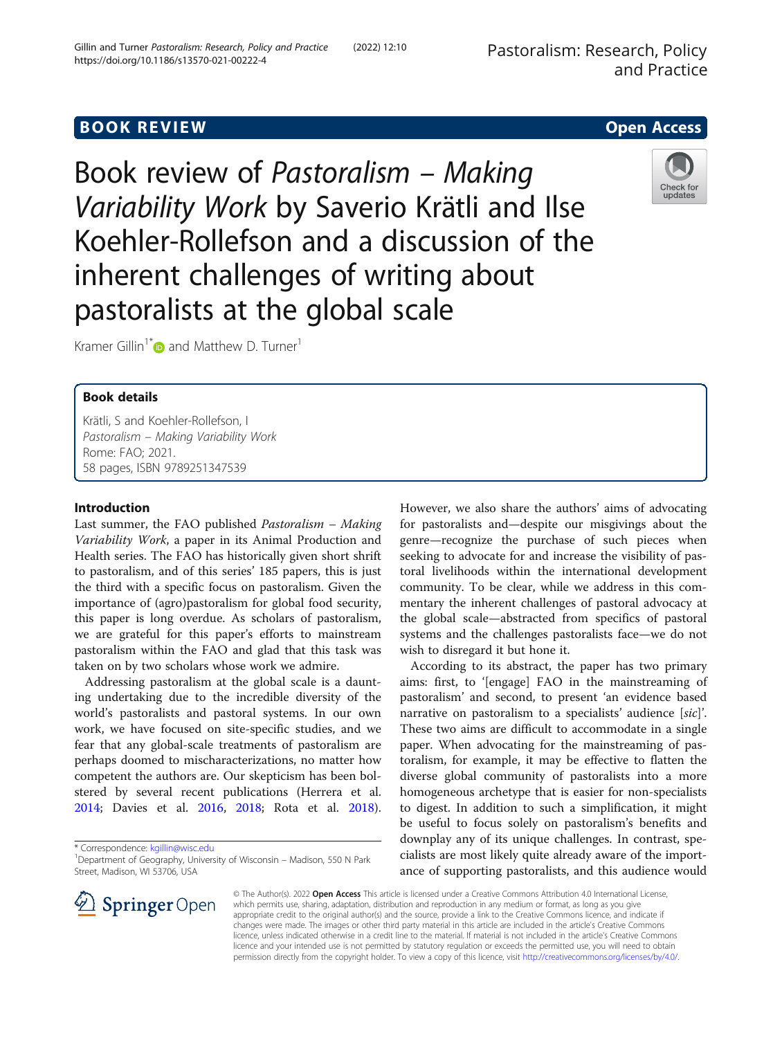## **BOOK REVIEW CONTROL** BOOK REVIEW

Book review of Pastoralism – Making Variability Work by Saverio Krätli and Ilse Koehler-Rollefson and a discussion of the inherent challenges of writing about pastoralists at the global scale



Kramer Gillin<sup>1\*</sup> and Matthew D. Turner<sup>1</sup>

## Book details

Krätli, S and Koehler-Rollefson, I Pastoralism – Making Variability Work Rome: FAO; 2021. 58 pages, ISBN 9789251347539

## Introduction

Last summer, the FAO published Pastoralism – Making Variability Work, a paper in its Animal Production and Health series. The FAO has historically given short shrift to pastoralism, and of this series' 185 papers, this is just the third with a specific focus on pastoralism. Given the importance of (agro)pastoralism for global food security, this paper is long overdue. As scholars of pastoralism, we are grateful for this paper's efforts to mainstream pastoralism within the FAO and glad that this task was taken on by two scholars whose work we admire.

Addressing pastoralism at the global scale is a daunting undertaking due to the incredible diversity of the world's pastoralists and pastoral systems. In our own work, we have focused on site-specific studies, and we fear that any global-scale treatments of pastoralism are perhaps doomed to mischaracterizations, no matter how competent the authors are. Our skepticism has been bolstered by several recent publications (Herrera et al. [2014](#page-5-0); Davies et al. [2016](#page-5-0), [2018](#page-5-0); Rota et al. [2018](#page-5-0)).

\* Correspondence: [kgillin@wisc.edu](mailto:kgillin@wisc.edu) <sup>1</sup>

However, we also share the authors' aims of advocating for pastoralists and—despite our misgivings about the genre—recognize the purchase of such pieces when seeking to advocate for and increase the visibility of pastoral livelihoods within the international development community. To be clear, while we address in this commentary the inherent challenges of pastoral advocacy at the global scale—abstracted from specifics of pastoral systems and the challenges pastoralists face—we do not wish to disregard it but hone it.

According to its abstract, the paper has two primary aims: first, to '[engage] FAO in the mainstreaming of pastoralism' and second, to present 'an evidence based narrative on pastoralism to a specialists' audience [sic]'. These two aims are difficult to accommodate in a single paper. When advocating for the mainstreaming of pastoralism, for example, it may be effective to flatten the diverse global community of pastoralists into a more homogeneous archetype that is easier for non-specialists to digest. In addition to such a simplification, it might be useful to focus solely on pastoralism's benefits and downplay any of its unique challenges. In contrast, specialists are most likely quite already aware of the importance of supporting pastoralists, and this audience would



<sup>&</sup>lt;sup>1</sup>Department of Geography, University of Wisconsin - Madison, 550 N Park Street, Madison, WI 53706, USA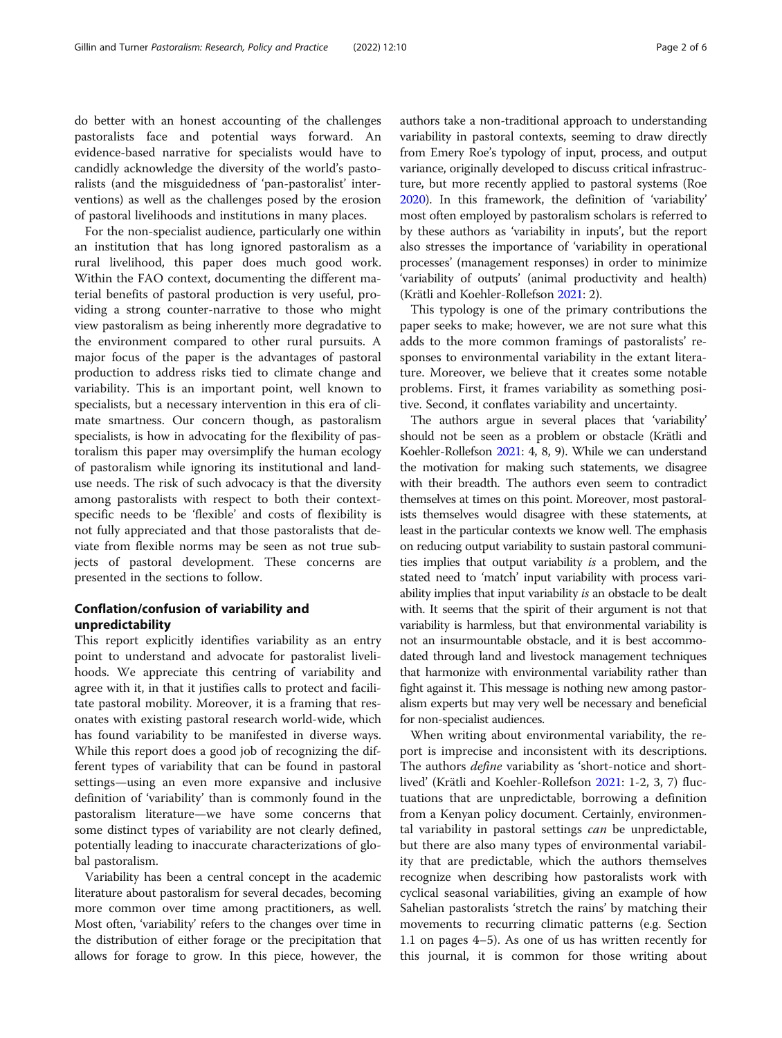do better with an honest accounting of the challenges pastoralists face and potential ways forward. An evidence-based narrative for specialists would have to candidly acknowledge the diversity of the world's pastoralists (and the misguidedness of 'pan-pastoralist' interventions) as well as the challenges posed by the erosion of pastoral livelihoods and institutions in many places.

For the non-specialist audience, particularly one within an institution that has long ignored pastoralism as a rural livelihood, this paper does much good work. Within the FAO context, documenting the different material benefits of pastoral production is very useful, providing a strong counter-narrative to those who might view pastoralism as being inherently more degradative to the environment compared to other rural pursuits. A major focus of the paper is the advantages of pastoral production to address risks tied to climate change and variability. This is an important point, well known to specialists, but a necessary intervention in this era of climate smartness. Our concern though, as pastoralism specialists, is how in advocating for the flexibility of pastoralism this paper may oversimplify the human ecology of pastoralism while ignoring its institutional and landuse needs. The risk of such advocacy is that the diversity among pastoralists with respect to both their contextspecific needs to be 'flexible' and costs of flexibility is not fully appreciated and that those pastoralists that deviate from flexible norms may be seen as not true subjects of pastoral development. These concerns are presented in the sections to follow.

## Conflation/confusion of variability and unpredictability

This report explicitly identifies variability as an entry point to understand and advocate for pastoralist livelihoods. We appreciate this centring of variability and agree with it, in that it justifies calls to protect and facilitate pastoral mobility. Moreover, it is a framing that resonates with existing pastoral research world-wide, which has found variability to be manifested in diverse ways. While this report does a good job of recognizing the different types of variability that can be found in pastoral settings—using an even more expansive and inclusive definition of 'variability' than is commonly found in the pastoralism literature—we have some concerns that some distinct types of variability are not clearly defined, potentially leading to inaccurate characterizations of global pastoralism.

Variability has been a central concept in the academic literature about pastoralism for several decades, becoming more common over time among practitioners, as well. Most often, 'variability' refers to the changes over time in the distribution of either forage or the precipitation that allows for forage to grow. In this piece, however, the authors take a non-traditional approach to understanding variability in pastoral contexts, seeming to draw directly from Emery Roe's typology of input, process, and output variance, originally developed to discuss critical infrastructure, but more recently applied to pastoral systems (Roe [2020\)](#page-5-0). In this framework, the definition of 'variability' most often employed by pastoralism scholars is referred to by these authors as 'variability in inputs', but the report also stresses the importance of 'variability in operational processes' (management responses) in order to minimize 'variability of outputs' (animal productivity and health) (Krätli and Koehler-Rollefson [2021](#page-5-0): 2).

This typology is one of the primary contributions the paper seeks to make; however, we are not sure what this adds to the more common framings of pastoralists' responses to environmental variability in the extant literature. Moreover, we believe that it creates some notable problems. First, it frames variability as something positive. Second, it conflates variability and uncertainty.

The authors argue in several places that 'variability' should not be seen as a problem or obstacle (Krätli and Koehler-Rollefson [2021](#page-5-0): 4, 8, 9). While we can understand the motivation for making such statements, we disagree with their breadth. The authors even seem to contradict themselves at times on this point. Moreover, most pastoralists themselves would disagree with these statements, at least in the particular contexts we know well. The emphasis on reducing output variability to sustain pastoral communities implies that output variability is a problem, and the stated need to 'match' input variability with process variability implies that input variability is an obstacle to be dealt with. It seems that the spirit of their argument is not that variability is harmless, but that environmental variability is not an insurmountable obstacle, and it is best accommodated through land and livestock management techniques that harmonize with environmental variability rather than fight against it. This message is nothing new among pastoralism experts but may very well be necessary and beneficial for non-specialist audiences.

When writing about environmental variability, the report is imprecise and inconsistent with its descriptions. The authors *define* variability as 'short-notice and shortlived' (Krätli and Koehler-Rollefson [2021:](#page-5-0) 1-2, 3, 7) fluctuations that are unpredictable, borrowing a definition from a Kenyan policy document. Certainly, environmental variability in pastoral settings can be unpredictable, but there are also many types of environmental variability that are predictable, which the authors themselves recognize when describing how pastoralists work with cyclical seasonal variabilities, giving an example of how Sahelian pastoralists 'stretch the rains' by matching their movements to recurring climatic patterns (e.g. Section 1.1 on pages 4–5). As one of us has written recently for this journal, it is common for those writing about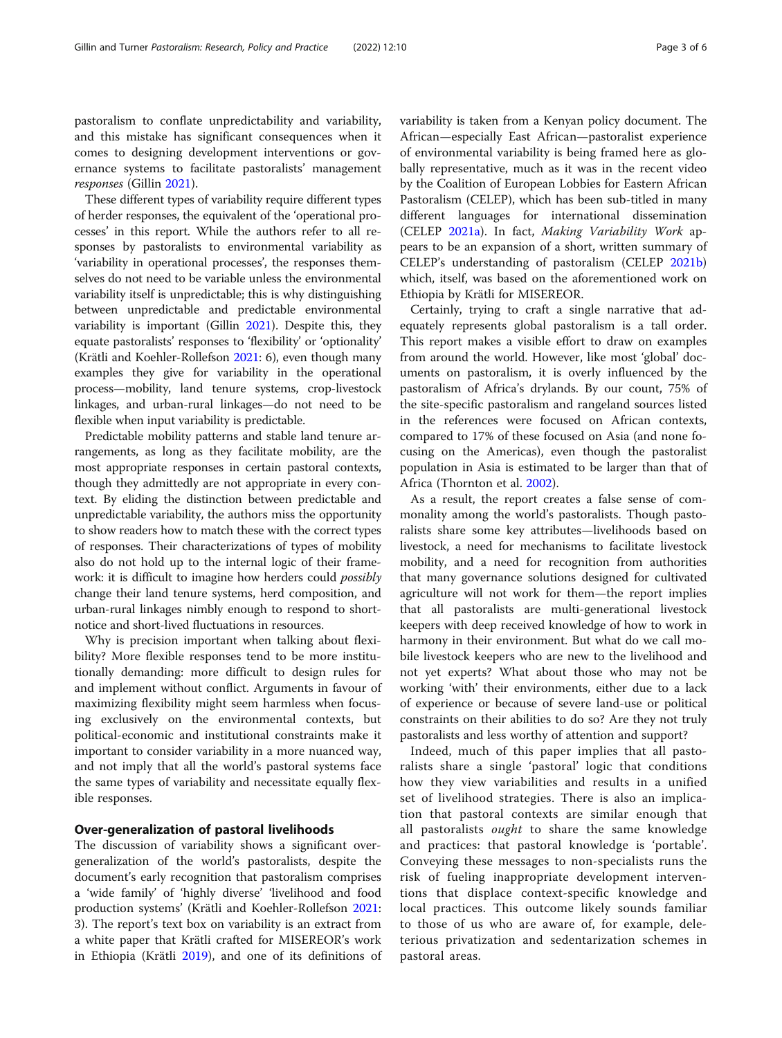pastoralism to conflate unpredictability and variability, and this mistake has significant consequences when it comes to designing development interventions or governance systems to facilitate pastoralists' management responses (Gillin [2021\)](#page-5-0).

These different types of variability require different types of herder responses, the equivalent of the 'operational processes' in this report. While the authors refer to all responses by pastoralists to environmental variability as 'variability in operational processes', the responses themselves do not need to be variable unless the environmental variability itself is unpredictable; this is why distinguishing between unpredictable and predictable environmental variability is important (Gillin [2021\)](#page-5-0). Despite this, they equate pastoralists' responses to 'flexibility' or 'optionality' (Krätli and Koehler-Rollefson [2021](#page-5-0): 6), even though many examples they give for variability in the operational process—mobility, land tenure systems, crop-livestock linkages, and urban-rural linkages—do not need to be flexible when input variability is predictable.

Predictable mobility patterns and stable land tenure arrangements, as long as they facilitate mobility, are the most appropriate responses in certain pastoral contexts, though they admittedly are not appropriate in every context. By eliding the distinction between predictable and unpredictable variability, the authors miss the opportunity to show readers how to match these with the correct types of responses. Their characterizations of types of mobility also do not hold up to the internal logic of their framework: it is difficult to imagine how herders could possibly change their land tenure systems, herd composition, and urban-rural linkages nimbly enough to respond to shortnotice and short-lived fluctuations in resources.

Why is precision important when talking about flexibility? More flexible responses tend to be more institutionally demanding: more difficult to design rules for and implement without conflict. Arguments in favour of maximizing flexibility might seem harmless when focusing exclusively on the environmental contexts, but political-economic and institutional constraints make it important to consider variability in a more nuanced way, and not imply that all the world's pastoral systems face the same types of variability and necessitate equally flexible responses.

## Over-generalization of pastoral livelihoods

The discussion of variability shows a significant overgeneralization of the world's pastoralists, despite the document's early recognition that pastoralism comprises a 'wide family' of 'highly diverse' 'livelihood and food production systems' (Krätli and Koehler-Rollefson [2021](#page-5-0): 3). The report's text box on variability is an extract from a white paper that Krätli crafted for MISEREOR's work in Ethiopia (Krätli [2019](#page-5-0)), and one of its definitions of variability is taken from a Kenyan policy document. The African—especially East African—pastoralist experience of environmental variability is being framed here as globally representative, much as it was in the recent video by the Coalition of European Lobbies for Eastern African Pastoralism (CELEP), which has been sub-titled in many different languages for international dissemination (CELEP [2021a\)](#page-5-0). In fact, Making Variability Work appears to be an expansion of a short, written summary of CELEP's understanding of pastoralism (CELEP [2021b](#page-5-0)) which, itself, was based on the aforementioned work on Ethiopia by Krätli for MISEREOR.

Certainly, trying to craft a single narrative that adequately represents global pastoralism is a tall order. This report makes a visible effort to draw on examples from around the world. However, like most 'global' documents on pastoralism, it is overly influenced by the pastoralism of Africa's drylands. By our count, 75% of the site-specific pastoralism and rangeland sources listed in the references were focused on African contexts, compared to 17% of these focused on Asia (and none focusing on the Americas), even though the pastoralist population in Asia is estimated to be larger than that of Africa (Thornton et al. [2002\)](#page-5-0).

As a result, the report creates a false sense of commonality among the world's pastoralists. Though pastoralists share some key attributes—livelihoods based on livestock, a need for mechanisms to facilitate livestock mobility, and a need for recognition from authorities that many governance solutions designed for cultivated agriculture will not work for them—the report implies that all pastoralists are multi-generational livestock keepers with deep received knowledge of how to work in harmony in their environment. But what do we call mobile livestock keepers who are new to the livelihood and not yet experts? What about those who may not be working 'with' their environments, either due to a lack of experience or because of severe land-use or political constraints on their abilities to do so? Are they not truly pastoralists and less worthy of attention and support?

Indeed, much of this paper implies that all pastoralists share a single 'pastoral' logic that conditions how they view variabilities and results in a unified set of livelihood strategies. There is also an implication that pastoral contexts are similar enough that all pastoralists ought to share the same knowledge and practices: that pastoral knowledge is 'portable'. Conveying these messages to non-specialists runs the risk of fueling inappropriate development interventions that displace context-specific knowledge and local practices. This outcome likely sounds familiar to those of us who are aware of, for example, deleterious privatization and sedentarization schemes in pastoral areas.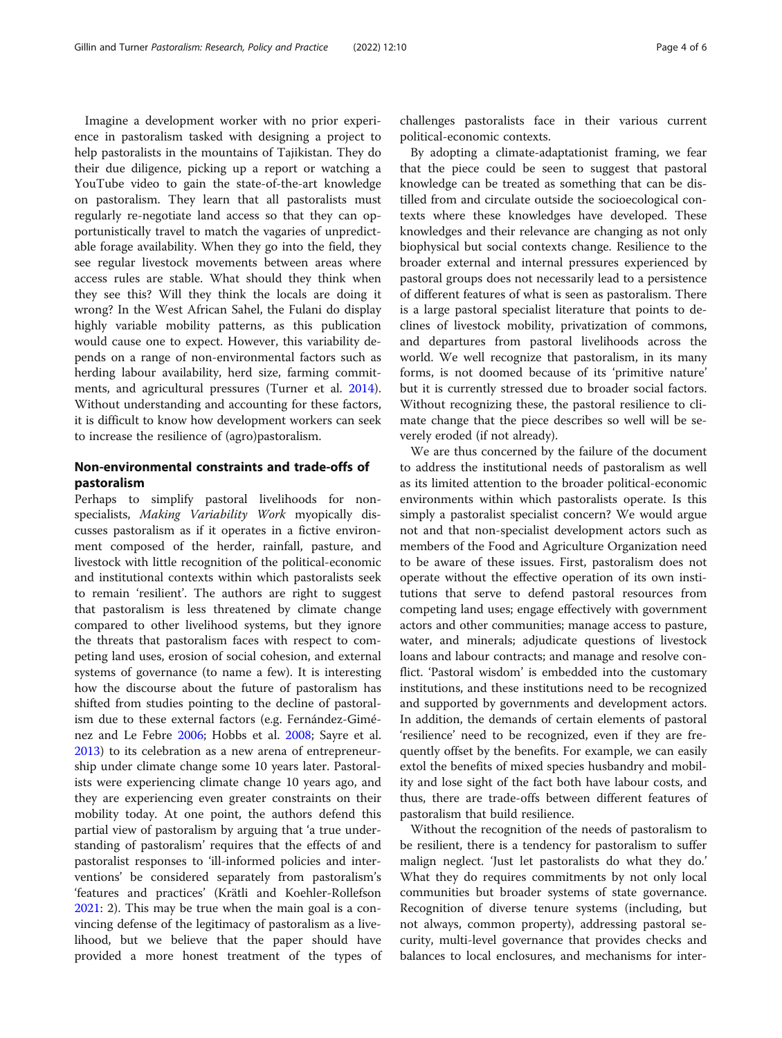Imagine a development worker with no prior experience in pastoralism tasked with designing a project to help pastoralists in the mountains of Tajikistan. They do their due diligence, picking up a report or watching a YouTube video to gain the state-of-the-art knowledge on pastoralism. They learn that all pastoralists must regularly re-negotiate land access so that they can opportunistically travel to match the vagaries of unpredictable forage availability. When they go into the field, they see regular livestock movements between areas where access rules are stable. What should they think when they see this? Will they think the locals are doing it wrong? In the West African Sahel, the Fulani do display highly variable mobility patterns, as this publication would cause one to expect. However, this variability depends on a range of non-environmental factors such as herding labour availability, herd size, farming commitments, and agricultural pressures (Turner et al. [2014](#page-5-0)). Without understanding and accounting for these factors, it is difficult to know how development workers can seek to increase the resilience of (agro)pastoralism.

## Non-environmental constraints and trade-offs of pastoralism

Perhaps to simplify pastoral livelihoods for nonspecialists, Making Variability Work myopically discusses pastoralism as if it operates in a fictive environment composed of the herder, rainfall, pasture, and livestock with little recognition of the political-economic and institutional contexts within which pastoralists seek to remain 'resilient'. The authors are right to suggest that pastoralism is less threatened by climate change compared to other livelihood systems, but they ignore the threats that pastoralism faces with respect to competing land uses, erosion of social cohesion, and external systems of governance (to name a few). It is interesting how the discourse about the future of pastoralism has shifted from studies pointing to the decline of pastoralism due to these external factors (e.g. Fernández-Giménez and Le Febre [2006](#page-5-0); Hobbs et al. [2008](#page-5-0); Sayre et al. [2013](#page-5-0)) to its celebration as a new arena of entrepreneurship under climate change some 10 years later. Pastoralists were experiencing climate change 10 years ago, and they are experiencing even greater constraints on their mobility today. At one point, the authors defend this partial view of pastoralism by arguing that 'a true understanding of pastoralism' requires that the effects of and pastoralist responses to 'ill-informed policies and interventions' be considered separately from pastoralism's 'features and practices' (Krätli and Koehler-Rollefson [2021](#page-5-0): 2). This may be true when the main goal is a convincing defense of the legitimacy of pastoralism as a livelihood, but we believe that the paper should have provided a more honest treatment of the types of challenges pastoralists face in their various current political-economic contexts.

By adopting a climate-adaptationist framing, we fear that the piece could be seen to suggest that pastoral knowledge can be treated as something that can be distilled from and circulate outside the socioecological contexts where these knowledges have developed. These knowledges and their relevance are changing as not only biophysical but social contexts change. Resilience to the broader external and internal pressures experienced by pastoral groups does not necessarily lead to a persistence of different features of what is seen as pastoralism. There is a large pastoral specialist literature that points to declines of livestock mobility, privatization of commons, and departures from pastoral livelihoods across the world. We well recognize that pastoralism, in its many forms, is not doomed because of its 'primitive nature' but it is currently stressed due to broader social factors. Without recognizing these, the pastoral resilience to climate change that the piece describes so well will be severely eroded (if not already).

We are thus concerned by the failure of the document to address the institutional needs of pastoralism as well as its limited attention to the broader political-economic environments within which pastoralists operate. Is this simply a pastoralist specialist concern? We would argue not and that non-specialist development actors such as members of the Food and Agriculture Organization need to be aware of these issues. First, pastoralism does not operate without the effective operation of its own institutions that serve to defend pastoral resources from competing land uses; engage effectively with government actors and other communities; manage access to pasture, water, and minerals; adjudicate questions of livestock loans and labour contracts; and manage and resolve conflict. 'Pastoral wisdom' is embedded into the customary institutions, and these institutions need to be recognized and supported by governments and development actors. In addition, the demands of certain elements of pastoral 'resilience' need to be recognized, even if they are frequently offset by the benefits. For example, we can easily extol the benefits of mixed species husbandry and mobility and lose sight of the fact both have labour costs, and thus, there are trade-offs between different features of pastoralism that build resilience.

Without the recognition of the needs of pastoralism to be resilient, there is a tendency for pastoralism to suffer malign neglect. 'Just let pastoralists do what they do.' What they do requires commitments by not only local communities but broader systems of state governance. Recognition of diverse tenure systems (including, but not always, common property), addressing pastoral security, multi-level governance that provides checks and balances to local enclosures, and mechanisms for inter-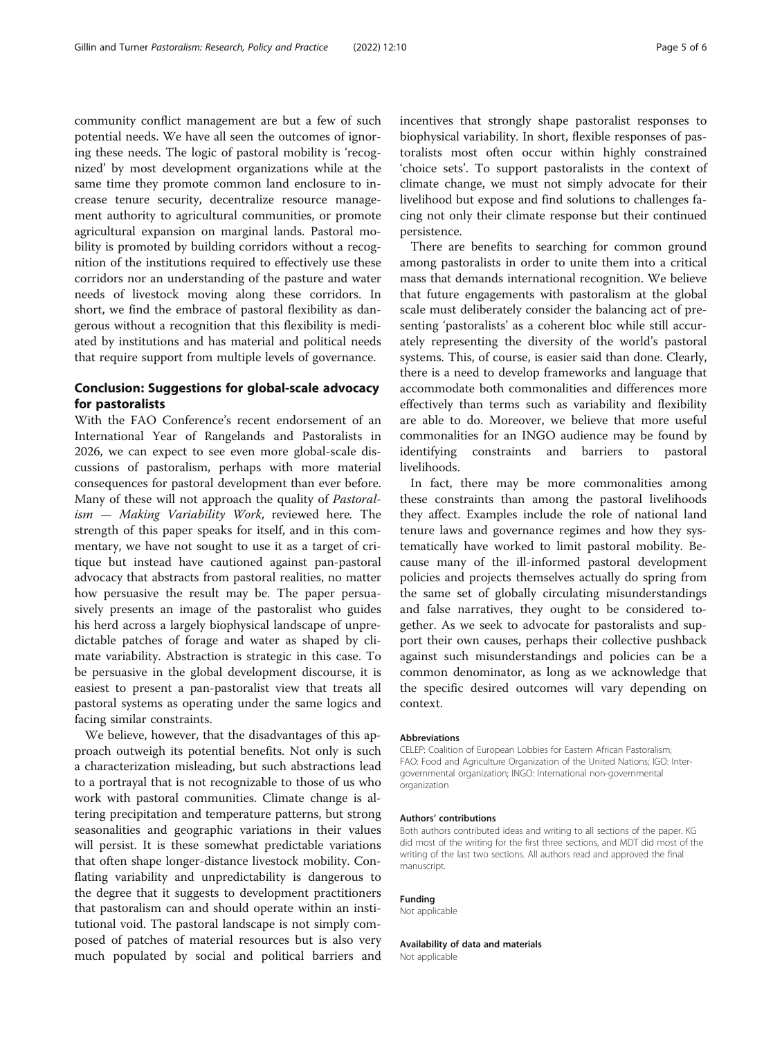community conflict management are but a few of such potential needs. We have all seen the outcomes of ignoring these needs. The logic of pastoral mobility is 'recognized' by most development organizations while at the same time they promote common land enclosure to increase tenure security, decentralize resource management authority to agricultural communities, or promote agricultural expansion on marginal lands. Pastoral mobility is promoted by building corridors without a recognition of the institutions required to effectively use these corridors nor an understanding of the pasture and water needs of livestock moving along these corridors. In short, we find the embrace of pastoral flexibility as dangerous without a recognition that this flexibility is mediated by institutions and has material and political needs that require support from multiple levels of governance.

## Conclusion: Suggestions for global-scale advocacy for pastoralists

With the FAO Conference's recent endorsement of an International Year of Rangelands and Pastoralists in 2026, we can expect to see even more global-scale discussions of pastoralism, perhaps with more material consequences for pastoral development than ever before. Many of these will not approach the quality of Pastoralism — Making Variability Work, reviewed here. The strength of this paper speaks for itself, and in this commentary, we have not sought to use it as a target of critique but instead have cautioned against pan-pastoral advocacy that abstracts from pastoral realities, no matter how persuasive the result may be. The paper persuasively presents an image of the pastoralist who guides his herd across a largely biophysical landscape of unpredictable patches of forage and water as shaped by climate variability. Abstraction is strategic in this case. To be persuasive in the global development discourse, it is easiest to present a pan-pastoralist view that treats all pastoral systems as operating under the same logics and facing similar constraints.

We believe, however, that the disadvantages of this approach outweigh its potential benefits. Not only is such a characterization misleading, but such abstractions lead to a portrayal that is not recognizable to those of us who work with pastoral communities. Climate change is altering precipitation and temperature patterns, but strong seasonalities and geographic variations in their values will persist. It is these somewhat predictable variations that often shape longer-distance livestock mobility. Conflating variability and unpredictability is dangerous to the degree that it suggests to development practitioners that pastoralism can and should operate within an institutional void. The pastoral landscape is not simply composed of patches of material resources but is also very much populated by social and political barriers and incentives that strongly shape pastoralist responses to biophysical variability. In short, flexible responses of pastoralists most often occur within highly constrained 'choice sets'. To support pastoralists in the context of climate change, we must not simply advocate for their livelihood but expose and find solutions to challenges facing not only their climate response but their continued persistence.

There are benefits to searching for common ground among pastoralists in order to unite them into a critical mass that demands international recognition. We believe that future engagements with pastoralism at the global scale must deliberately consider the balancing act of presenting 'pastoralists' as a coherent bloc while still accurately representing the diversity of the world's pastoral systems. This, of course, is easier said than done. Clearly, there is a need to develop frameworks and language that accommodate both commonalities and differences more effectively than terms such as variability and flexibility are able to do. Moreover, we believe that more useful commonalities for an INGO audience may be found by identifying constraints and barriers to pastoral livelihoods.

In fact, there may be more commonalities among these constraints than among the pastoral livelihoods they affect. Examples include the role of national land tenure laws and governance regimes and how they systematically have worked to limit pastoral mobility. Because many of the ill-informed pastoral development policies and projects themselves actually do spring from the same set of globally circulating misunderstandings and false narratives, they ought to be considered together. As we seek to advocate for pastoralists and support their own causes, perhaps their collective pushback against such misunderstandings and policies can be a common denominator, as long as we acknowledge that the specific desired outcomes will vary depending on context.

#### Abbreviations

CELEP: Coalition of European Lobbies for Eastern African Pastoralism; FAO: Food and Agriculture Organization of the United Nations; IGO: Intergovernmental organization; INGO: International non-governmental organization

#### Authors' contributions

Both authors contributed ideas and writing to all sections of the paper. KG did most of the writing for the first three sections, and MDT did most of the writing of the last two sections. All authors read and approved the final manuscript.

#### Funding

Not applicable

Availability of data and materials

Not applicable